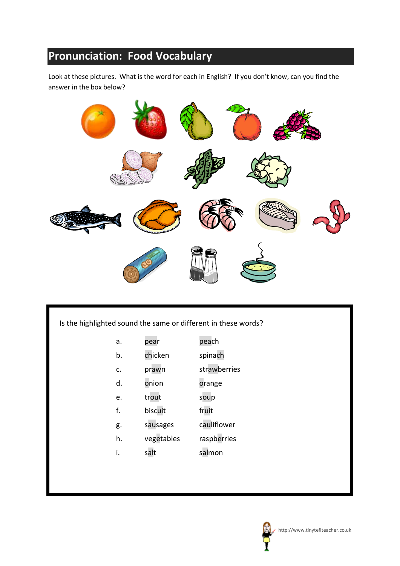## **Pronunciation: Food Vocabulary**

Look at these pictures. What is the word for each in English? If you don't know, can you find the answer in the box below?



Is the highlighted sound the same or different in these words?

- a. pear peach
- b. chicken spinach
- c. prawn strawberries
- d. onion orange
- e. trout soup
- f. biscuit fruit
- g. sausages cauliflower
- h. vegetables raspberries
- i. salt salmon